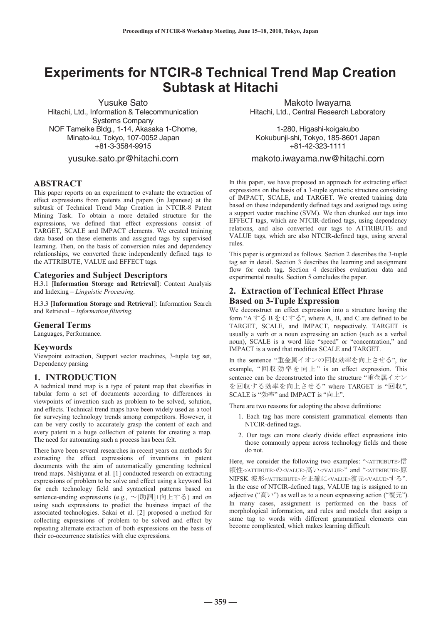# **Experiments for NTCIR-8 Technical Trend Map Creation Subtask at Hitachi**

Yusuke Sato Hitachi, Ltd., Information & Telecommunication Systems Company NOF Tameike Bldg., 1-14, Akasaka 1-Chome, Minato-ku, Tokyo, 107-0052 Japan +81-3-3584-9915

yusuke.sato.pr@hitachi.com

## **ABSTRACT**

This paper reports on an experiment to evaluate the extraction of effect expressions from patents and papers (in Japanese) at the subtask of Technical Trend Map Creation in NTCIR-8 Patent Mining Task. To obtain a more detailed structure for the expressions, we defined that effect expressions consist of TARGET, SCALE and IMPACT elements. We created training data based on these elements and assigned tags by supervised learning. Then, on the basis of conversion rules and dependency relationships, we converted these independently defined tags to the ATTRIBUTE, VALUE and EFFECT tags.

## **Categories and Subject Descriptors**

H.3.1 [**Information Storage and Retrieval**]: Content Analysis and Indexing – *Linguistic Processing*.

H.3.3 [**Information Storage and Retrieval**]: Information Search and Retrieval - *Information filtering*.

### **General Terms**

Languages, Performance.

## **Keywords**

Viewpoint extraction, Support vector machines, 3-tuple tag set, Dependency parsing

## **1. INTRODUCTION**

A technical trend map is a type of patent map that classifies in tabular form a set of documents according to differences in viewpoints of invention such as problem to be solved, solution, and effects. Technical trend maps have been widely used as a tool for surveying technology trends among competitors. However, it can be very costly to accurately grasp the content of each and every patent in a huge collection of patents for creating a map. The need for automating such a process has been felt.

There have been several researches in recent years on methods for extracting the effect expressions of inventions in patent documents with the aim of automatically generating technical trend maps. Nishiyama et al. [1] conducted research on extracting expressions of problem to be solve and effect using a keyword list for each technology field and syntactical patterns based on sentence-ending expressions (e.g., ~[助詞]+向上する) and on using such expressions to predict the business impact of the associated technologies. Sakai et al. [2] proposed a method for collecting expressions of problem to be solved and effect by repeating alternate extraction of both expressions on the basis of their co-occurrence statistics with clue expressions.

Makoto Iwayama Hitachi, Ltd., Central Research Laboratory

1-280, Higashi-koigakubo Kokubunji-shi, Tokyo, 185-8601 Japan +81-42-323-1111

makoto.iwayama.nw@hitachi.com

In this paper, we have proposed an approach for extracting effect expressions on the basis of a 3-tuple syntactic structure consisting of IMPACT, SCALE, and TARGET. We created training data based on these independently defined tags and assigned tags using a support vector machine (SVM). We then chunked our tags into EFFECT tags, which are NTCIR-defined tags, using dependency relations, and also converted our tags to ATTRIBUTE and VALUE tags, which are also NTCIR-defined tags, using several rules.

This paper is organized as follows. Section 2 describes the 3-tuple tag set in detail. Section 3 describes the learning and assignment flow for each tag. Section 4 describes evaluation data and experimental results. Section 5 concludes the paper.

# **2. Extraction of Technical Effect Phrase Based on 3-Tuple Expression**

We deconstruct an effect expression into a structure having the form " $A \not\uparrow \Diamond B \not\geq C \not\uparrow \Diamond$ ", where A, B, and C are defined to be TARGET, SCALE, and IMPACT, respectively. TARGET is usually a verb or a noun expressing an action (such as a verbal noun), SCALE is a word like "speed" or "concentration," and IMPACT is a word that modifies SCALE and TARGET.

In the sentence "重金属イオンの回収効率を向上させる", for example, "回収効率を向上" is an effect expression. This sentence can be deconstructed into the structure " $\mathbb{E} \hat{\mathbb{E}} \hat{\mathbb{H}}$   $\vec{\mathcal{A}}$   $\vec{\mathcal{A}}$ を回収する効率を向上させる"where TARGET is "回収". SCALE is "効率" and IMPACT is "向上".

There are two reasons for adopting the above definitions:

- 1. Each tag has more consistent grammatical elements than NTCIR-defined tags.
- 2. Our tags can more clearly divide effect expressions into those commonly appear across technology fields and those do not.

Here, we consider the following two examples: "<ATTRIBUTE>信 頼性</ATTIBUTE>の<VALUE>高い</VALUE>" and "<ATTRIBUTE>原 NIFSK 波形</ATTRIBUTE>を正確に<VALUE>復元</VALUE>する". In the case of NTCIR-defined tags, VALUE tag is assigned to an adjective ("高い") as well as to a noun expressing action ("復元"). In many cases, assignment is performed on the basis of morphological information, and rules and models that assign a same tag to words with different grammatical elements can become complicated, which makes learning difficult.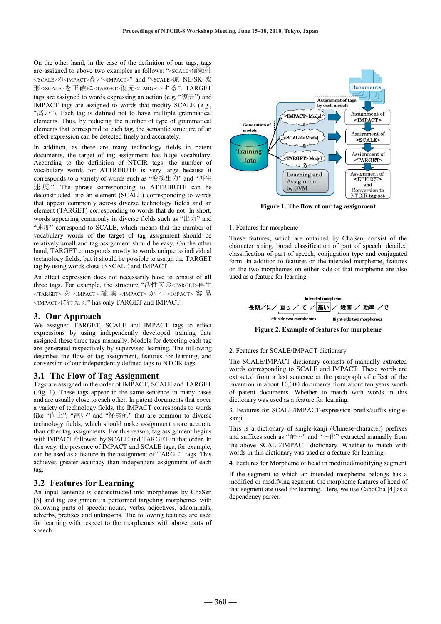On the other hand, in the case of the definition of our tags, tags are assigned to above two examples as follows: "<SCALE>信頼性 </sCALE>の<IMPACT>高い</IMPACT>" and "<sCALE>原 NIFSK 波 形</SCALE>を正確に<TARGET>復元</TARGET>する". TARGET tags are assigned to words expressing an action (e.g, "復元") and IMPACT tags are assigned to words that modify SCALE (e.g., "高い"). Each tag is defined not to have multiple grammatical elements. Thus, by reducing the number of type of grammatical elements that correspond to each tag, the semantic structure of an effect expression can be detected finely and accurately.

In addition, as there are many technology fields in patent documents, the target of tag assignment has huge vocabulary. According to the definition of NTCIR tags, the number of vocabulary words for ATTRIBUTE is very large because it corresponds to a variety of words such as "変換出力" and "再生 速度". The phrase corresponding to ATTRIBUTE can be deconstructed into an element (SCALE) corresponding to words that appear commonly across diverse technology fields and an element (TARGET) corresponding to words that do not. In short, words appearing commonly in diverse fields such as " $\boxplus \uparrow$ " and "速度" correspond to SCALE, which means that the number of vocabulary words of the target of tag assignment should be relatively small and tag assignment should be easy. On the other hand, TARGET corresponds mostly to words unique to individual technology fields, but it should be possible to assign the TARGET tag by using words close to SCALE and IMPACT.

An effect expression does not necessarily have to consist of all three tags. For example, the structure "活性炭の<TARGET>再生 </TARGET> を <IMPACT> 確 実 </IMPACT> か つ <IMPACT> 容 易 </IMPACT>に行える" has only TARGET and IMPACT.

### **3. Our Approach**

We assigned TARGET, SCALE and IMPACT tags to effect expressions by using independently developed training data assigned these three tags manually. Models for detecting each tag are generated respectively by supervised learning. The following describes the flow of tag assignment, features for learning, and conversion of our independently defined tags to NTCIR tags.

### **3.1 The Flow of Tag Assignment**

Tags are assigned in the order of IMPACT, SCALE and TARGET (Fig. 1). These tags appear in the same sentence in many cases and are usually close to each other. In patent documents that cover a variety of technology fields, the IMPACT corresponds to words like "向上", "高い" and "経済的" that are common to diverse technology fields, which should make assignment more accurate than other tag assignments. For this reason, tag assignment begins with IMPACT followed by SCALE and TARGET in that order. In this way, the presence of IMPACT and SCALE tags, for example, can be used as a feature in the assignment of TARGET tags. This achieves greater accuracy than independent assignment of each tag.

### **3.2 Features for Learning**

An input sentence is deconstructed into morphemes by ChaSen [3] and tag assignment is performed targeting morphemes with following parts of speech: nouns, verbs, adjectives, adnominals, adverbs, prefixes and unknowns. The following features are used for learning with respect to the morphemes with above parts of speech.



**Figure 1. The flow of our tag assignment** 

#### 1. Features for morpheme

These features, which are obtained by ChaSen, consist of the character string, broad classification of part of speech, detailed classification of part of speech, conjugation type and conjugated form. In addition to features on the intended morpheme, features on the two morphemes on either side of that morpheme are also used as a feature for learning.



**Figure 2. Example of features for morpheme** 

#### 2. Features for SCALE/IMPACT dictionary

The SCALE/IMPACT dictionary consists of manually extracted words corresponding to SCALE and IMPACT. These words are extracted from a last sentence at the paragraph of effect of the invention in about 10,000 documents from about ten years worth of patent documents. Whether to match with words in this dictionary was used as a feature for learning.

3. Features for SCALE/IMPACT-expression prefix/suffix singlekanji

This is a dictionary of single-kanji (Chinese-character) prefixes and suffixes such as " $\mathbb{R}^n$  and " $\sim$  / $\mathbb{R}^n$ " extracted manually from the above SCALE/IMPACT dictionary. Whether to match with words in this dictionary was used as a feature for learning.

4. Features for Morpheme of head in modified/modifying segment

If the segment to which an intended morpheme belongs has a modified or modifying segment, the morpheme features of head of that segment are used for learning. Here, we use CaboCha [4] as a dependency parser.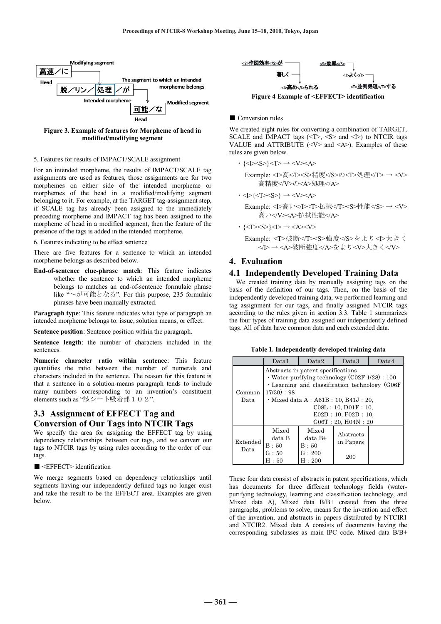

**Figure 3. Example of features for Morpheme of head in modified/modifying segment** 

#### 5. Features for results of IMPACT/SCALE assignment

For an intended morpheme, the results of IMPACT/SCALE tag assignments are used as features, those assignments are for two morphemes on either side of the intended morpheme or morphemes of the head in a modified/modifying segment belonging to it. For example, at the TARGET tag-assignment step, if SCALE tag has already been assigned to the immediately preceding morpheme and IMPACT tag has been assigned to the morpheme of head in a modified segment, then the feature of the presence of the tags is added in the intended morpheme.

6. Features indicating to be effect sentence

There are five features for a sentence to which an intended morpheme belongs as described below.

**End-of-sentence clue-phrase match**: This feature indicates whether the sentence to which an intended morpheme belongs to matches an end-of-sentence formulaic phrase like "~が可能となる". For this purpose, 235 formulaic phrases have been manually extracted.

**Paragraph type**: This feature indicates what type of paragraph an intended morpheme belongs to: issue, solution means, or effect.

**Sentence position**: Sentence position within the paragraph.

**Sentence length**: the number of characters included in the sentences.

**Numeric character ratio within sentence**: This feature quantifies the ratio between the number of numerals and characters included in the sentence. The reason for this feature is that a sentence in a solution-means paragraph tends to include many numbers corresponding to an invention's constituent elements such as "該シート吸着部102".

## **3.3 Assignment of EFFECT Tag and Conversion of Our Tags into NTCIR Tags**

We specify the area for assigning the EFFECT tag by using dependency relationships between our tags, and we convert our tags to NTCIR tags by using rules according to the order of our tags.

 $\blacksquare$  <EFFECT> identification

We merge segments based on dependency relationships until segments having our independently defined tags no longer exist and take the result to be the EFFECT area. Examples are given below.



#### $\blacksquare$  Conversion rules

We created eight rules for converting a combination of TARGET, SCALE and IMPACT tags  $(\langle T \rangle, \langle S \rangle)$  and  $\langle I \rangle$  to NTCIR tags VALUE and ATTRIBUTE  $(\langle V \rangle)$  and  $\langle A \rangle$ ). Examples of these rules are given below.

 $\cdot$  {< $\leq$   $\leq$   $\leq$   $\leq$   $\leq$   $\geq$   $\leq$   $\leq$   $\leq$   $\leq$   $\leq$   $\leq$   $\leq$   $\leq$   $\leq$   $\leq$   $\leq$   $\leq$   $\leq$   $\leq$   $\leq$   $\leq$   $\leq$   $\leq$   $\leq$   $\leq$   $\leq$   $\leq$   $\leq$   $\leq$   $\leq$   $\leq$   $\leq$   $\leq$   $\leq$   $\leq$ 

Example: <I>高</I><S>精度</S>の<T>処理</T> → <V> 高精度</V>の<A>処理</A>

- $\cdot$  < $\{\leq\}$  < $\{\leq T>\leq S>\}$   $\rightarrow$  < $\{\leq\leq A\}$
- Example: <I>高い</I><I>払拭</T><S>性能</S> → <V> 高い</V><A>払拭性能</A>
- $\cdot$  {<T><S>}<I>  $\rightarrow$  <A><V>

Example: <T>◚᩿</T><S>ᙉᗘ</S>ࡾࡼࢆ>I>ࡃࡁ </I> Ѝ <A>◚᩿ᙉᗘ</A>ࡾࡼࢆ>V>ࡃࡁ>/V>

## **4. Evaluation**

## **4.1 Independently Developed Training Data**

We created training data by manually assigning tags on the basis of the definition of our tags. Then, on the basis of the independently developed training data, we performed learning and tag assignment for our tags, and finally assigned NTCIR tags according to the rules given in section 3.3. Table 1 summarizes the four types of training data assigned our independently defined tags. All of data have common data and each extended data.

|  | Table 1. Independently developed training data |  |  |
|--|------------------------------------------------|--|--|
|--|------------------------------------------------|--|--|

|                  | Data1                                                                                                                                                                                                                                                                           | Data2                                        | Data <sub>3</sub>             | Data4 |  |  |
|------------------|---------------------------------------------------------------------------------------------------------------------------------------------------------------------------------------------------------------------------------------------------------------------------------|----------------------------------------------|-------------------------------|-------|--|--|
| Common<br>Data   | Abstracts in patent specifications<br>• Water-purifying technology $(C02F 1/28)$ : 100<br>$\cdot$ Learning and classification technology (G06F)<br>$17/30$ : 98<br>• Mixed data A : A61B : 10, B41J : 20,<br>CO8L: 10, DO1F: 10,<br>E02D : 10, F02D : 10,<br>G06T: 20, H04N: 20 |                                              |                               |       |  |  |
| Extended<br>Data | Mixed<br>data B<br>B:50<br>G:50<br>H : 50                                                                                                                                                                                                                                       | Mixed<br>data B+<br>B:50<br>G: 200<br>H: 200 | Abstracts<br>in Papers<br>200 |       |  |  |

These four data consist of abstracts in patent specifications, which has documents for three different technology fields (waterpurifying technology, learning and classification technology, and Mixed data A), Mixed data B/B+ created from the three paragraphs, problems to solve, means for the invention and effect of the invention, and abstracts in papers distributed by NTCIR1 and NTCIR2. Mixed data A consists of documents having the corresponding subclasses as main IPC code. Mixed data B/B+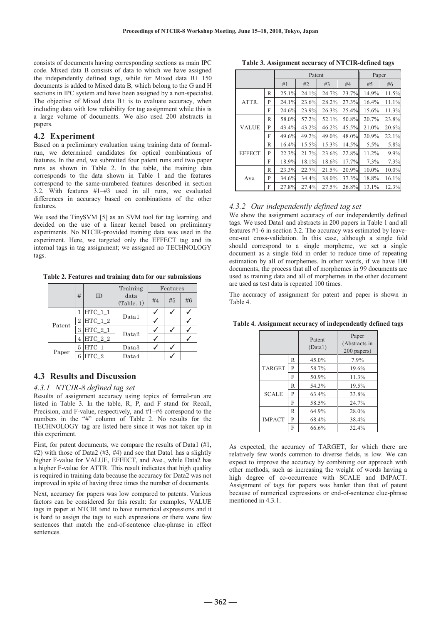consists of documents having corresponding sections as main IPC code. Mixed data B consists of data to which we have assigned the independently defined tags, while for Mixed data B+ 150 documents is added to Mixed data B, which belong to the G and H sections in IPC system and have been assigned by a non-specialist. The objective of Mixed data B+ is to evaluate accuracy, when including data with low reliability for tag assignment while this is a large volume of documents. We also used 200 abstracts in papers.

## **4.2 Experiment**

Based on a preliminary evaluation using training data of formalrun, we determined candidates for optical combinations of features. In the end, we submitted four patent runs and two paper runs as shown in Table 2. In the table, the training data corresponds to the data shown in Table 1 and the features correspond to the same-numbered features described in section 3.2. With features  $#1-\#3$  used in all runs, we evaluated differences in accuracy based on combinations of the other features.

We used the TinySVM [5] as an SVM tool for tag learning, and decided on the use of a linear kernel based on preliminary experiments. No NTCIR-provided training data was used in the experiment. Here, we targeted only the EFFECT tag and its internal tags in tag assignment; we assigned no TECHNOLOGY tags.

**Table 2. Features and training data for our submissions** 

|        |                |           | Training           | Features |    |    |
|--------|----------------|-----------|--------------------|----------|----|----|
|        | #<br>ID        |           | data<br>(Table. 1) | #4       | #5 | #6 |
| Patent |                | $HTC_1_1$ |                    |          |    |    |
|        | $\overline{2}$ | $HTC_1_2$ | Data1              |          |    |    |
|        | 3              | $HTC_2_1$ |                    |          |    |    |
|        | $\overline{4}$ | $HTC_2_2$ | Data2              |          |    |    |
| Paper  | 5              | HTC 1     | Data3              |          |    |    |
|        | 6              | HTC 2     | Data4              |          |    |    |

# **4.3 Results and Discussion**

## *4.3.1 NTCIR-8 defined tag set*

Results of assignment accuracy using topics of formal-run are listed in Table 3. In the table, R, P, and F stand for Recall, Precision, and F-value, respectively, and  $#1-\#6$  correspond to the numbers in the "#" column of Table 2. No results for the TECHNOLOGY tag are listed here since it was not taken up in this experiment.

First, for patent documents, we compare the results of Data1 (#1, #2) with those of Data2 (#3, #4) and see that Data1 has a slightly higher F-value for VALUE, EFFECT, and Ave., while Data2 has a higher F-value for ATTR. This result indicates that high quality is required in training data because the accuracy for Data2 was not improved in spite of having three times the number of documents.

Next, accuracy for papers was low compared to patents. Various factors can be considered for this result: for examples, VALUE tags in paper at NTCIR tend to have numerical expressions and it is hard to assign the tags to such expressions or there were few sentences that match the end-of-sentence clue-phrase in effect sentences.

**Table 3. Assignment accuracy of NTCIR-defined tags** 

|               |   | Patent |       |       | Paper |          |       |
|---------------|---|--------|-------|-------|-------|----------|-------|
|               |   | #1     | #2    | #3    | #4    | #5       | #6    |
| ATTR.         | R | 25.1%  | 24.1% | 24.7% | 23.7% | 14.9%    | 11.5% |
|               | P | 24.1%  | 23.6% | 28.2% | 27.3% | 16.4%    | 11.1% |
|               | F | 24.6%  | 23.9% | 26.3% | 25.4% | 15.6%    | 11.3% |
| <b>VALUE</b>  | R | 58.0%  | 57.2% | 52.1% | 50.8% | 20.7%    | 23.8% |
|               | P | 43.4%  | 43.2% | 46.2% | 45.5% | 21.0%    | 20.6% |
|               | F | 49.6%  | 49.2% | 49.0% | 48.0% | 20.9%    | 22.1% |
| <b>EFFECT</b> | R | 16.4%  | 15.5% | 15.3% | 14.5% | 5.5%     | 5.8%  |
|               | P | 22.3%  | 21.7% | 23.6% | 22.8% | 11.2%    | 9.9%  |
|               | F | 18.9%  | 18.1% | 18.6% | 17.7% | 7.3%     | 7.3%  |
| Ave.          | R | 23.3%  | 22.7% | 21.5% | 20.9% | $10.0\%$ | 10.0% |
|               | P | 34.6%  | 34.4% | 38.0% | 37.3% | 18.8%    | 16.1% |
|               | F | 27.8%  | 27.4% | 27.5% | 26.8% | 13.1%    | 12.3% |

## *4.3.2 Our independently defined tag set*

We show the assignment accuracy of our independently defined tags. We used Data1 and abstracts in 200 papers in Table 1 and all features #1-6 in section 3.2. The accuracy was estimated by leaveone-out cross-validation. In this case, although a single fold should correspond to a single morpheme, we set a single document as a single fold in order to reduce time of repeating estimation by all of morphemes. In other words, if we have 100 documents, the process that all of morphemes in 99 documents are used as training data and all of morphemes in the other document are used as test data is repeated 100 times.

The accuracy of assignment for patent and paper is shown in Table 4.

|               |   | Patent<br>(Data1) | Paper<br>(Abstracts in<br>200 papers) |
|---------------|---|-------------------|---------------------------------------|
| <b>TARGET</b> | R | $45.0\%$          | 7.9%                                  |
|               | P | 58.7%             | 19.6%                                 |
|               | F | 50.9%             | 11.3%                                 |
| <b>SCALE</b>  | R | 54.3%             | 19.5%                                 |
|               | P | 63.4%             | 33.8%                                 |
|               | F | 58.5%             | 24.7%                                 |
| <b>IMPACT</b> | R | 64.9%             | 28.0%                                 |
|               | P | 68.4%             | 38.4%                                 |
|               | F | 66.6%             | 32.4%                                 |

**Table 4. Assignment accuracy of independently defined tags** 

As expected, the accuracy of TARGET, for which there are relatively few words common to diverse fields, is low. We can expect to improve the accuracy by combining our approach with other methods, such as increasing the weight of words having a high degree of co-occurrence with SCALE and IMPACT. Assignment of tags for papers was harder than that of patent because of numerical expressions or end-of-sentence clue-phrase mentioned in 4.3.1.